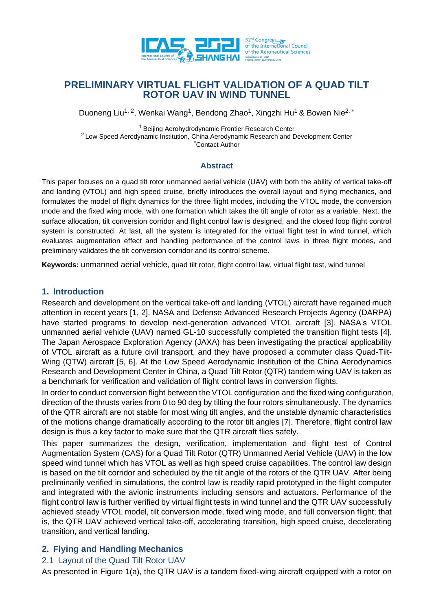

# **PRELIMINARY VIRTUAL FLIGHT VALIDATION OF A QUAD TILT ROTOR UAV IN WIND TUNNEL**

Duoneng Liu<sup>1, 2</sup>, Wenkai Wang<sup>1</sup>, Bendong Zhao<sup>1</sup>, Xingzhi Hu<sup>1</sup> & Bowen Nie<sup>2, \*</sup>

<sup>1</sup> Beijing Aerohydrodynamic Frontier Research Center <sup>2</sup> Low Speed Aerodynamic Institution, China Aerodynamic Research and Development Center **Contact Author** 

#### **Abstract**

This paper focuses on a quad tilt rotor unmanned aerial vehicle (UAV) with both the ability of vertical take-off and landing (VTOL) and high speed cruise, briefly introduces the overall layout and flying mechanics, and formulates the model of flight dynamics for the three flight modes, including the VTOL mode, the conversion mode and the fixed wing mode, with one formation which takes the tilt angle of rotor as a variable. Next, the surface allocation, tilt conversion corridor and flight control law is designed, and the closed loop flight control system is constructed. At last, all the system is integrated for the virtual flight test in wind tunnel, which evaluates augmentation effect and handling performance of the control laws in three flight modes, and preliminary validates the tilt conversion corridor and its control scheme.

**Keywords:** unmanned aerial vehicle, quad tilt rotor, flight control law, virtual flight test, wind tunnel

## **1. Introduction**

Research and development on the vertical take-off and landing (VTOL) aircraft have regained much attention in recent years [1, 2]. NASA and Defense Advanced Research Projects Agency (DARPA) have started programs to develop next-generation advanced VTOL aircraft [3]. NASA's VTOL unmanned aerial vehicle (UAV) named GL-10 successfully completed the transition flight tests [4]. The Japan Aerospace Exploration Agency (JAXA) has been investigating the practical applicability of VTOL aircraft as a future civil transport, and they have proposed a commuter class Quad-Tilt-Wing (QTW) aircraft [5, 6]. At the Low Speed Aerodynamic Institution of the China Aerodynamics Research and Development Center in China, a Quad Tilt Rotor (QTR) tandem wing UAV is taken as a benchmark for verification and validation of flight control laws in conversion flights.

In order to conduct conversion flight between the VTOL configuration and the fixed wing configuration, direction of the thrusts varies from 0 to 90 deg by tilting the four rotors simultaneously. The dynamics of the QTR aircraft are not stable for most wing tilt angles, and the unstable dynamic characteristics of the motions change dramatically according to the rotor tilt angles [7]. Therefore, flight control law design is thus a key factor to make sure that the QTR aircraft flies safely.

This paper summarizes the design, verification, implementation and flight test of Control Augmentation System (CAS) for a Quad Tilt Rotor (QTR) Unmanned Aerial Vehicle (UAV) in the low speed wind tunnel which has VTOL as well as high speed cruise capabilities. The control law design is based on the tilt corridor and scheduled by the tilt angle of the rotors of the QTR UAV. After being preliminarily verified in simulations, the control law is readily rapid prototyped in the flight computer and integrated with the avionic instruments including sensors and actuators. Performance of the flight control law is further verified by virtual flight tests in wind tunnel and the QTR UAV successfully achieved steady VTOL model, tilt conversion mode, fixed wing mode, and full conversion flight; that is, the QTR UAV achieved vertical take-off, accelerating transition, high speed cruise, decelerating transition, and vertical landing.

# **2. Flying and Handling Mechanics**

# 2.1 Layout of the Quad Tilt Rotor UAV

As presented in Figure 1(a), the QTR UAV is a tandem fixed-wing aircraft equipped with a rotor on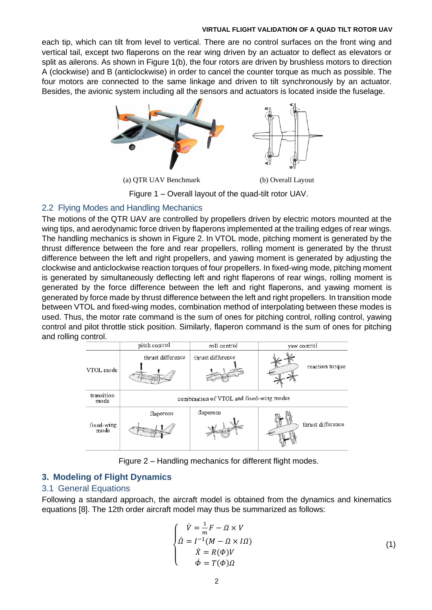each tip, which can tilt from level to vertical. There are no control surfaces on the front wing and vertical tail, except two flaperons on the rear wing driven by an actuator to deflect as elevators or split as ailerons. As shown in Figure 1(b), the four rotors are driven by brushless motors to direction A (clockwise) and B (anticlockwise) in order to cancel the counter torque as much as possible. The four motors are connected to the same linkage and driven to tilt synchronously by an actuator. Besides, the avionic system including all the sensors and actuators is located inside the fuselage.



Figure 1 – Overall layout of the quad-tilt rotor UAV.

# 2.2 Flying Modes and Handling Mechanics

The motions of the QTR UAV are controlled by propellers driven by electric motors mounted at the wing tips, and aerodynamic force driven by flaperons implemented at the trailing edges of rear wings. The handling mechanics is shown in Figure 2. In VTOL mode, pitching moment is generated by the thrust difference between the fore and rear propellers, rolling moment is generated by the thrust difference between the left and right propellers, and yawing moment is generated by adjusting the clockwise and anticlockwise reaction torques of four propellers. In fixed-wing mode, pitching moment is generated by simultaneously deflecting left and right flaperons of rear wings, rolling moment is generated by the force difference between the left and right flaperons, and yawing moment is generated by force made by thrust difference between the left and right propellers. In transition mode between VTOL and fixed-wing modes, combination method of interpolating between these modes is used. Thus, the motor rate command is the sum of ones for pitching control, rolling control, yawing control and pilot throttle stick position. Similarly, flaperon command is the sum of ones for pitching and rolling control.



Figure 2 – Handling mechanics for different flight modes.

# **3. Modeling of Flight Dynamics**

# 3.1 General Equations

Following a standard approach, the aircraft model is obtained from the dynamics and kinematics equations [8]. The 12th order aircraft model may thus be summarized as follows:

$$
\begin{cases}\n\dot{V} = \frac{1}{m}F - \Omega \times V \\
\dot{\Omega} = I^{-1}(M - \Omega \times I\Omega) \\
\dot{X} = R(\Phi)V \\
\dot{\Phi} = T(\Phi)\Omega\n\end{cases}
$$
\n(1)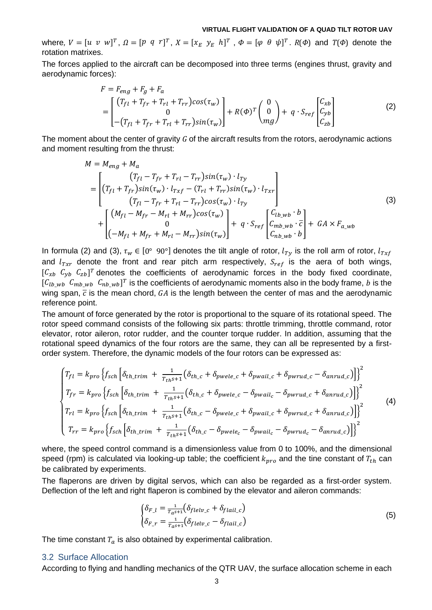where,  $V = [u \ v \ w]^T$ ,  $\Omega = [p \ q \ r]^T$ ,  $X = [x_E \ y_E \ h]^T$ ,  $\Phi = [\varphi \ \theta \ \psi]^T$ .  $R(\Phi)$  and  $T(\Phi)$  denote the rotation matrixes.

The forces applied to the aircraft can be decomposed into three terms (engines thrust, gravity and aerodynamic forces):

$$
F = F_{eng} + F_g + F_a
$$
  
=  $\begin{bmatrix} (T_{fl} + T_{fr} + T_{rl} + T_{rr})cos(\tau_w) \\ 0 \\ -(T_{fl} + T_{fr} + T_{rl} + T_{rr})sin(\tau_w) \end{bmatrix} + R(\Phi)^T \begin{pmatrix} 0 \\ 0 \\ mg \end{pmatrix} + q \cdot S_{ref} \begin{bmatrix} C_{xb} \\ C_{yb} \\ C_{zb} \end{bmatrix}$  (2)

The moment about the center of gravity *G* of the aircraft results from the rotors, aerodynamic actions and moment resulting from the thrust:

$$
M = M_{eng} + M_a
$$
  
\n
$$
= \begin{bmatrix} (T_{fl} - T_{fr} + T_{rl} - T_{rr})sin(\tau_w) \cdot l_{Ty} \\ (T_{fl} + T_{fr})sin(\tau_w) \cdot l_{Txf} - (T_{rl} + T_{rr})sin(\tau_w) \cdot l_{Txr} \\ (T_{fl} - T_{fr} + T_{rl} - T_{rr})cos(\tau_w) \cdot l_{Ty} \\ + \begin{bmatrix} (M_{fl} - M_{fr} - M_{rl} + M_{rr})cos(\tau_w) \\ 0 \\ (-M_{fl} + M_{fr} + M_{rl} - M_{rr})sin(\tau_w) \end{bmatrix} + q \cdot S_{ref} \begin{bmatrix} C_{lb\_wb} \cdot b \\ C_{mb\_wb} \cdot \overline{c} \\ C_{nb\_wb} \cdot \overline{c} \\ C_{nb\_wb} \cdot b \end{bmatrix} + GA \times F_{a\_wb}
$$
 (3)

In formula (2) and (3),  $\tau_w \in [0^{\circ} 90^{\circ}]$  denotes the tilt angle of rotor,  $l_{Ty}$  is the roll arm of rotor,  $l_{Txf}$ and  $l_{Txr}$  denote the front and rear pitch arm respectively,  $S_{ref}$  is the aera of both wings,  $[C_{xb} C_{yb} C_{zb}]^T$  denotes the coefficients of aerodynamic forces in the body fixed coordinate,  $[C_{lb\_wb}$   $C_{mb\_wb}$   $C_{nb\_wb}]^T$  is the coefficients of aerodynamic moments also in the body frame, b is the wing span,  $\bar{c}$  is the mean chord,  $GA$  is the length between the center of mas and the aerodynamic reference point.

The amount of force generated by the rotor is proportional to the square of its rotational speed. The rotor speed command consists of the following six parts: throttle trimming, throttle command, rotor elevator, rotor aileron, rotor rudder, and the counter torque rudder. In addition, assuming that the rotational speed dynamics of the four rotors are the same, they can all be represented by a firstorder system. Therefore, the dynamic models of the four rotors can be expressed as:

$$
\begin{cases}\nT_{fl} = k_{pro} \left\{ f_{sch} \left[ \delta_{th\_trim} + \frac{1}{T_{th}s+1} \left( \delta_{th\_c} + \delta_{pwele\_c} + \delta_{pwail\_c} + \delta_{pwrud\_c} - \delta_{anrud\_c} \right) \right] \right\}^2 \\
T_{fr} = k_{pro} \left\{ f_{sch} \left[ \delta_{th\_trim} + \frac{1}{T_{th}s+1} \left( \delta_{th\_c} + \delta_{pwele\_c} - \delta_{pwail\_c} - \delta_{pwrud\_c} + \delta_{anrud\_c} \right) \right] \right\}^2 \\
T_{rl} = k_{pro} \left\{ f_{sch} \left[ \delta_{th\_trim} + \frac{1}{T_{th}s+1} \left( \delta_{th\_c} - \delta_{pwele\_c} + \delta_{pwail\_c} + \delta_{pwrud\_c} + \delta_{anrud\_c} \right) \right] \right\}^2 \\
T_{rr} = k_{pro} \left\{ f_{sch} \left[ \delta_{th\_trim} + \frac{1}{T_{th}s+1} \left( \delta_{th\_c} - \delta_{pwele\_c} - \delta_{pwail\_c} - \delta_{pwrud\_c} - \delta_{anrud\_c} \right) \right] \right\}^2\n\end{cases} \tag{4}
$$

where, the speed control command is a dimensionless value from 0 to 100%, and the dimensional speed (rpm) is calculated via looking-up table; the coefficient  $k_{\text{pro}}$  and the tine constant of  $T_{th}$  can be calibrated by experiments.

The flaperons are driven by digital servos, which can also be regarded as a first-order system. Deflection of the left and right flaperon is combined by the elevator and aileron commands:

$$
\begin{cases}\n\delta_{F\_l} = \frac{1}{T_a s + 1} (\delta_{flelv\_c} + \delta_{flail\_c}) \\
\delta_{F\_r} = \frac{1}{T_a s + 1} (\delta_{flelv\_c} - \delta_{flail\_c})\n\end{cases}
$$
\n(5)

The time constant  $T_a$  is also obtained by experimental calibration.

#### 3.2 Surface Allocation

According to flying and handling mechanics of the QTR UAV, the surface allocation scheme in each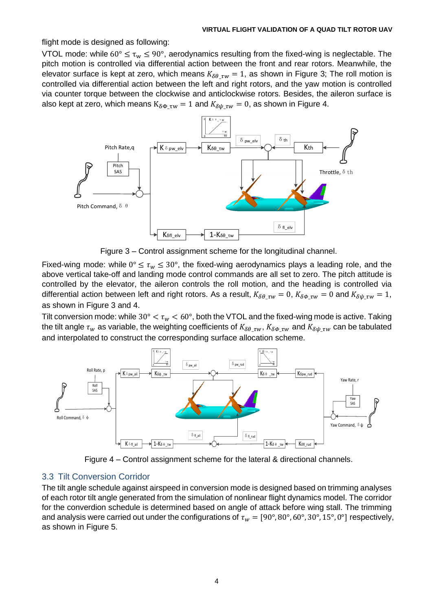flight mode is designed as following:

VTOL mode: while  $60^{\circ} \le \tau_w \le 90^{\circ}$ , aerodynamics resulting from the fixed-wing is neglectable. The pitch motion is controlled via differential action between the front and rear rotors. Meanwhile, the elevator surface is kept at zero, which means  $K_{\delta\theta\,\tau w} = 1$ , as shown in Figure 3; The roll motion is controlled via differential action between the left and right rotors, and the yaw motion is controlled via counter torque between the clockwise and anticlockwise rotors. Besides, the aileron surface is also kept at zero, which means  $K_{\delta\Phi\,\tau w} = 1$  and  $K_{\delta\psi\,\tau w} = 0$ , as shown in Figure 4.



Figure 3 – Control assignment scheme for the longitudinal channel.

Fixed-wing mode: while  $0^{\circ} \leq \tau_{w} \leq 30^{\circ}$ , the fixed-wing aerodynamics plays a leading role, and the above vertical take-off and landing mode control commands are all set to zero. The pitch attitude is controlled by the elevator, the aileron controls the roll motion, and the heading is controlled via differential action between left and right rotors. As a result,  $K_{\delta\theta_{\tau}} w = 0$ ,  $K_{\delta\phi_{\tau}} w = 0$  and  $K_{\delta\psi_{\tau}} w = 1$ , as shown in Figure 3 and 4.

Tilt conversion mode: while 30°  $< \tau_w < 60^{\circ}$ , both the VTOL and the fixed-wing mode is active. Taking the tilt angle  $\tau_w$  as variable, the weighting coefficients of  $K_{\delta\theta_{\tau}vw}$ ,  $K_{\delta\phi_{\tau}vw}$  and  $K_{\delta\psi_{\tau}vw}$  can be tabulated and interpolated to construct the corresponding surface allocation scheme.



Figure 4 – Control assignment scheme for the lateral & directional channels.

# 3.3 Tilt Conversion Corridor

The tilt angle schedule against airspeed in conversion mode is designed based on trimming analyses of each rotor tilt angle generated from the simulation of nonlinear flight dynamics model. The corridor for the converdion schedule is determined based on angle of attack before wing stall. The trimming and analysis were carried out under the configurations of  $\tau_w = [90^\circ, 80^\circ, 60^\circ, 30^\circ, 15^\circ, 0^\circ]$  respectively, as shown in Figure 5.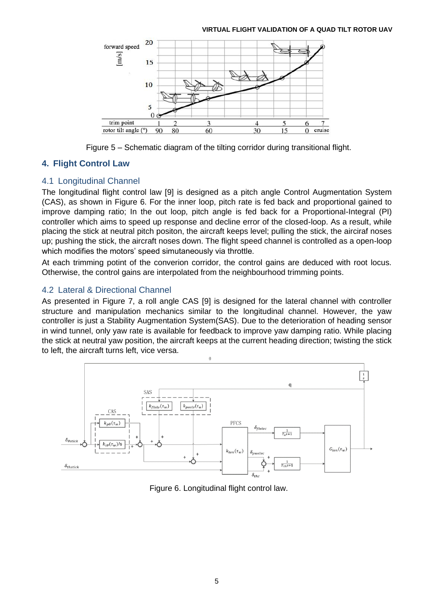

Figure 5 – Schematic diagram of the tilting corridor during transitional flight.

# **4. Flight Control Law**

# 4.1 Longitudinal Channel

The longitudinal flight control law [9] is designed as a pitch angle Control Augmentation System (CAS), as shown in Figure 6. For the inner loop, pitch rate is fed back and proportional gained to improve damping ratio; In the out loop, pitch angle is fed back for a Proportional-Integral (PI) controller which aims to speed up response and decline error of the closed-loop. As a result, while placing the stick at neutral pitch positon, the aircraft keeps level; pulling the stick, the airciraf noses up; pushing the stick, the aircraft noses down. The flight speed channel is controlled as a open-loop which modifies the motors' speed simutaneously via throttle.

At each trimming potint of the converion corridor, the control gains are deduced with root locus. Otherwise, the control gains are interpolated from the neighbourhood trimming points.

# 4.2 Lateral & Directional Channel

As presented in Figure 7, a roll angle CAS [9] is designed for the lateral channel with controller structure and manipulation mechanics similar to the longitudinal channel. However, the yaw controller is just a Stability Augmentation System(SAS). Due to the deterioration of heading sensor in wind tunnel, only yaw rate is available for feedback to improve yaw damping ratio. While placing the stick at neutral yaw position, the aircraft keeps at the current heading direction; twisting the stick to left, the aircraft turns left, vice versa.



Figure 6. Longitudinal flight control law.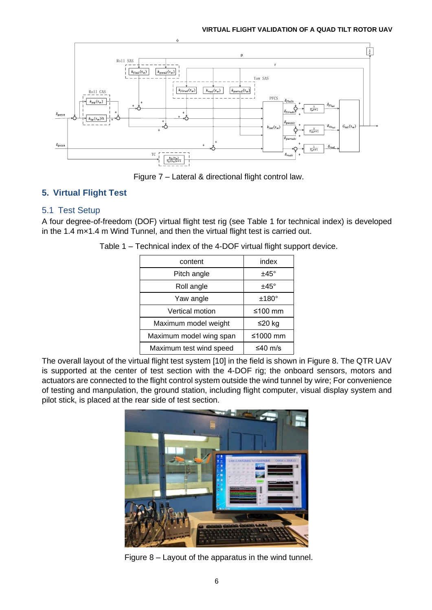

Figure 7 – Lateral & directional flight control law.

# **5. Virtual Flight Test**

# 5.1 Test Setup

A four degree-of-freedom (DOF) virtual flight test rig (see Table 1 for technical index) is developed in the 1.4 m×1.4 m Wind Tunnel, and then the virtual flight test is carried out.

| content                 | index         |
|-------------------------|---------------|
| Pitch angle             | $±45^{\circ}$ |
| Roll angle              | $±45^{\circ}$ |
| Yaw angle               | $±180^\circ$  |
| Vertical motion         | ≤100 mm       |
| Maximum model weight    | ≤20 kg        |
| Maximum model wing span | ≤1000 mm      |
| Maximum test wind speed | ≤40 m/s       |

Table 1 – Technical index of the 4-DOF virtual flight support device.

The overall layout of the virtual flight test system [10] in the field is shown in Figure 8. The QTR UAV is supported at the center of test section with the 4-DOF rig; the onboard sensors, motors and actuators are connected to the flight control system outside the wind tunnel by wire; For convenience of testing and manpulation, the ground station, including flight computer, visual display system and pilot stick, is placed at the rear side of test section.



Figure 8 – Layout of the apparatus in the wind tunnel.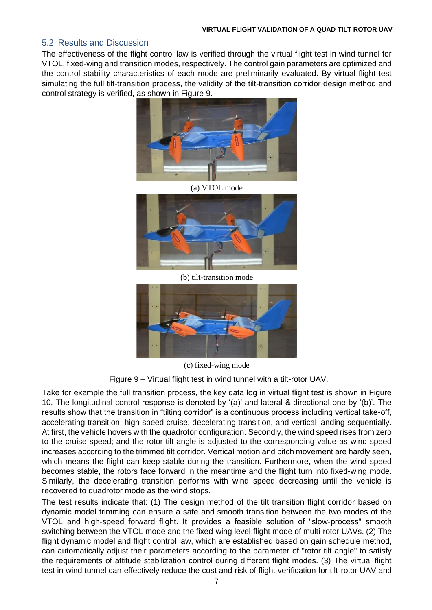## 5.2 Results and Discussion

The effectiveness of the flight control law is verified through the virtual flight test in wind tunnel for VTOL, fixed-wing and transition modes, respectively. The control gain parameters are optimized and the control stability characteristics of each mode are preliminarily evaluated. By virtual flight test simulating the full tilt-transition process, the validity of the tilt-transition corridor design method and control strategy is verified, as shown in Figure 9.



(a) VTOL mode



(b) tilt-transition mode



(c) fixed-wing mode

Figure 9 – Virtual flight test in wind tunnel with a tilt-rotor UAV.

Take for example the full transition process, the key data log in virtual flight test is shown in Figure 10. The longitudinal control response is denoted by '(a)' and lateral & directional one by '(b)'. The results show that the transition in "tilting corridor" is a continuous process including vertical take-off, accelerating transition, high speed cruise, decelerating transition, and vertical landing sequentially. At first, the vehicle hovers with the quadrotor configuration. Secondly, the wind speed rises from zero to the cruise speed; and the rotor tilt angle is adjusted to the corresponding value as wind speed increases according to the trimmed tilt corridor. Vertical motion and pitch movement are hardly seen, which means the flight can keep stable during the transition. Furthermore, when the wind speed becomes stable, the rotors face forward in the meantime and the flight turn into fixed-wing mode. Similarly, the decelerating transition performs with wind speed decreasing until the vehicle is recovered to quadrotor mode as the wind stops.

The test results indicate that: (1) The design method of the tilt transition flight corridor based on dynamic model trimming can ensure a safe and smooth transition between the two modes of the VTOL and high-speed forward flight. It provides a feasible solution of "slow-process" smooth switching between the VTOL mode and the fixed-wing level-flight mode of multi-rotor UAVs. (2) The flight dynamic model and flight control law, which are established based on gain schedule method, can automatically adjust their parameters according to the parameter of "rotor tilt angle" to satisfy the requirements of attitude stabilization control during different flight modes. (3) The virtual flight test in wind tunnel can effectively reduce the cost and risk of flight verification for tilt-rotor UAV and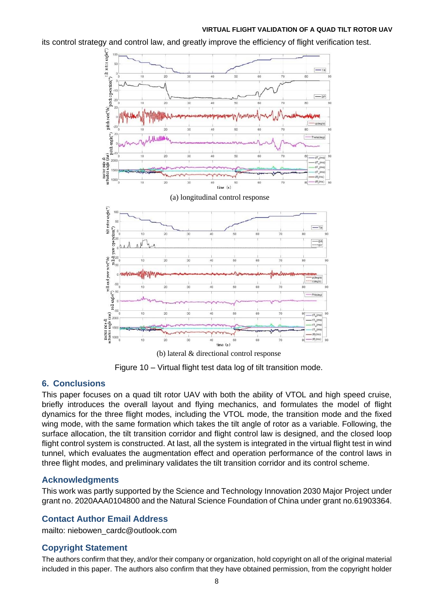its control strategy and control law, and greatly improve the efficiency of flight verification test.



Figure 10 – Virtual flight test data log of tilt transition mode.

# **6. Conclusions**

This paper focuses on a quad tilt rotor UAV with both the ability of VTOL and high speed cruise, briefly introduces the overall layout and flying mechanics, and formulates the model of flight dynamics for the three flight modes, including the VTOL mode, the transition mode and the fixed wing mode, with the same formation which takes the tilt angle of rotor as a variable. Following, the surface allocation, the tilt transition corridor and flight control law is designed, and the closed loop flight control system is constructed. At last, all the system is integrated in the virtual flight test in wind tunnel, which evaluates the augmentation effect and operation performance of the control laws in three flight modes, and preliminary validates the tilt transition corridor and its control scheme.

# **Acknowledgments**

This work was partly supported by the Science and Technology Innovation 2030 Major Project under grant no. 2020AAA0104800 and the Natural Science Foundation of China under grant no.61903364.

# **Contact Author Email Address**

mailto: niebowen\_cardc@outlook.com

# **Copyright Statement**

The authors confirm that they, and/or their company or organization, hold copyright on all of the original material included in this paper. The authors also confirm that they have obtained permission, from the copyright holder